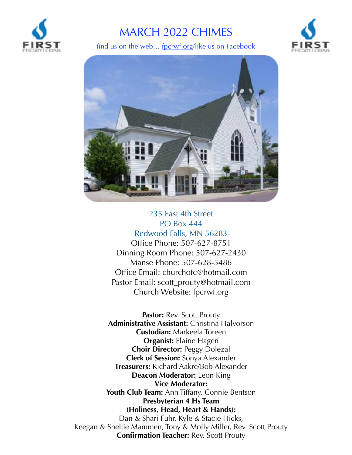

# MARCH 2022 CHIMES<br>find us on the web... <u>fpcrwf.org</u>/like us on Facebook





### 235 East 4th Street PO Box 444

Redwood Falls, MN 56283 Office Phone: 507-627-8751 Dinning Room Phone: 507-627-2430 Manse Phone: 507-628-5486 Office Email: [churchofc@hotmail.com](mailto:churchofc@hotmail.com) Pastor Email: [scott\\_prouty@hotmail.com](mailto:scott_prouty@hotmail.com) Church Website: [fpcrwf.org](http://fpcrwf.org)

Pastor: Rev. Scott Prouty **Administrative Assistant:** Christina Halvorson **Custodian:** Markeela Toreen **Organist:** Elaine Hagen **Choir Director:** Peggy Dolezal **Clerk of Session:** Sonya Alexander **Treasurers:** Richard Aakre/Bob Alexander **Deacon Moderator:** Leon King **Vice Moderator: Youth Club Team:** Ann Tiffany, Connie Bentson **Presbyterian 4 Hs Team (Holiness, Head, Heart & Hands):** Dan & Shari Fuhr, Kyle & Stacie Hicks, Keegan & Shellie Mammen, Tony & Molly Miller, Rev. Scott Prouty **Confirmation Teacher:** Rev. Scott Prouty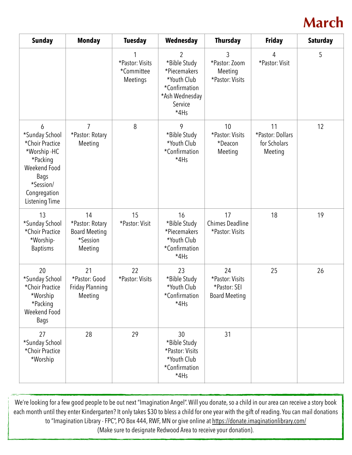## **March**

| <b>Sunday</b>                                                                                                                            | <b>Monday</b>                                                        | <b>Tuesday</b>                            | Wednesday                                                                                                           | <b>Thursday</b>                                               | <b>Friday</b>                                     | <b>Saturday</b> |
|------------------------------------------------------------------------------------------------------------------------------------------|----------------------------------------------------------------------|-------------------------------------------|---------------------------------------------------------------------------------------------------------------------|---------------------------------------------------------------|---------------------------------------------------|-----------------|
|                                                                                                                                          |                                                                      | *Pastor: Visits<br>*Committee<br>Meetings | $\overline{2}$<br>*Bible Study<br>*Piecemakers<br>*Youth Club<br>*Confirmation<br>*Ash Wednesday<br>Service<br>*4Hs | 3<br>*Pastor: Zoom<br>Meeting<br>*Pastor: Visits              | 4<br>*Pastor: Visit                               | 5               |
| 6<br>*Sunday School<br>*Choir Practice<br>*Worship-HC<br>*Packing<br>Weekend Food<br>Bags<br>*Session/<br>Congregation<br>Listening Time | $\overline{7}$<br>*Pastor: Rotary<br>Meeting                         | 8                                         | 9<br>*Bible Study<br>*Youth Club<br>*Confirmation<br>*4Hs                                                           | 10<br>*Pastor: Visits<br>*Deacon<br>Meeting                   | 11<br>*Pastor: Dollars<br>for Scholars<br>Meeting | 12              |
| 13<br>*Sunday School<br>*Choir Practice<br>*Worship-<br><b>Baptisms</b>                                                                  | 14<br>*Pastor: Rotary<br><b>Board Meeting</b><br>*Session<br>Meeting | 15<br>*Pastor: Visit                      | 16<br>*Bible Study<br>*Piecemakers<br>*Youth Club<br>*Confirmation<br>*4Hs                                          | 17<br><b>Chimes Deadline</b><br>*Pastor: Visits               | 18                                                | 19              |
| 20<br>*Sunday School<br>*Choir Practice<br>*Worship<br>*Packing<br>Weekend Food<br><b>Bags</b>                                           | 21<br>*Pastor: Good<br>Friday Planning<br>Meeting                    | 22<br>*Pastor: Visits                     | 23<br>*Bible Study<br>*Youth Club<br>*Confirmation<br>*4Hs                                                          | 24<br>*Pastor: Visits<br>*Pastor: SEI<br><b>Board Meeting</b> | 25                                                | 26              |
| 27<br>*Sunday School<br>*Choir Practice<br>*Worship                                                                                      | 28                                                                   | 29                                        | 30<br>*Bible Study<br>*Pastor: Visits<br>*Youth Club<br>*Confirmation<br>*4Hs                                       | 31                                                            |                                                   |                 |

We're looking for a few good people to be out next "Imagination Angel". Will you donate, so a child in our area can receive a story book each month until they enter Kindergarten? It only takes \$30 to bless a child for one year with the gift of reading. You can mail donations to "Imagination Library - FPC", PO Box 444, RWF, MN or give online at<https://donate.imaginationlibrary.com/>

(Make sure to designate Redwood Area to receive your donation).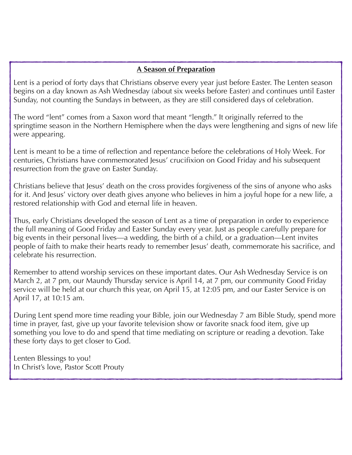#### **A Season of Preparation**

Lent is a period of forty days that Christians observe every year just before Easter. The Lenten season begins on a day known as Ash Wednesday (about six weeks before Easter) and continues until Easter Sunday, not counting the Sundays in between, as they are still considered days of celebration.

The word "lent" comes from a Saxon word that meant "length." It originally referred to the springtime season in the Northern Hemisphere when the days were lengthening and signs of new life were appearing.

Lent is meant to be a time of reflection and repentance before the celebrations of Holy Week. For centuries, Christians have commemorated Jesus' crucifixion on Good Friday and his subsequent resurrection from the grave on Easter Sunday.

Christians believe that Jesus' death on the cross provides forgiveness of the sins of anyone who asks for it. And Jesus' victory over death gives anyone who believes in him a joyful hope for a new life, a restored relationship with God and eternal life in heaven.

Thus, early Christians developed the season of Lent as a time of preparation in order to experience the full meaning of Good Friday and Easter Sunday every year. Just as people carefully prepare for big events in their personal lives—a wedding, the birth of a child, or a graduation—Lent invites people of faith to make their hearts ready to remember Jesus' death, commemorate his sacrifice, and celebrate his resurrection.

Remember to attend worship services on these important dates. Our Ash Wednesday Service is on March 2, at 7 pm, our Maundy Thursday service is April 14, at 7 pm, our community Good Friday service will be held at our church this year, on April 15, at 12:05 pm, and our Easter Service is on April 17, at 10:15 am.

During Lent spend more time reading your Bible, join our Wednesday 7 am Bible Study, spend more time in prayer, fast, give up your favorite television show or favorite snack food item, give up something you love to do and spend that time mediating on scripture or reading a devotion. Take these forty days to get closer to God.

Lenten Blessings to you! In Christ's love, Pastor Scott Prouty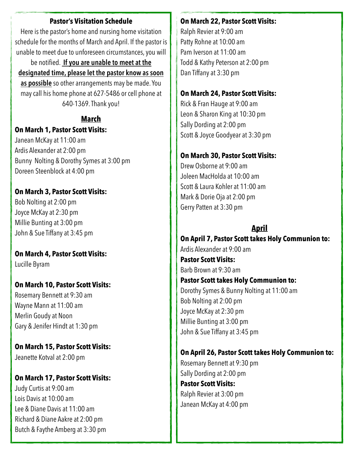#### **Pastor's Visitation Schedule**

Here is the pastor's home and nursing home visitation schedule for the months of March and April. If the pastor is unable to meet due to unforeseen circumstances, you will

be notified. **If you are unable to meet at the designated time, please let the pastor know as soon as possible** so other arrangements may be made. You may call his home phone at 627-5486 or cell phone at 640-1369. Thank you!

#### **March On March 1, Pastor Scott Visits:**

Janean McKay at 11:00 am Ardis Alexander at 2:00 pm Bunny Nolting & Dorothy Symes at 3:00 pm Doreen Steenblock at 4:00 pm

#### **On March 3, Pastor Scott Visits:**

Bob Nolting at 2:00 pm Joyce McKay at 2:30 pm Millie Bunting at 3:00 pm John & Sue Tiffany at 3:45 pm

#### **On March 4, Pastor Scott Visits:** Lucille Byram

#### **On March 10, Pastor Scott Visits:**

Rosemary Bennett at 9:30 am Wayne Mann at 11:00 am Merlin Goudy at Noon Gary & Jenifer Hindt at 1:30 pm

**On March 15, Pastor Scott Visits:** Jeanette Kotval at 2:00 pm

#### **On March 17, Pastor Scott Visits:**

Judy Curtis at 9:00 am Lois Davis at 10:00 am Lee & Diane Davis at 11:00 am Richard & Diane Aakre at 2:00 pm Butch & Faythe Amberg at 3:30 pm

#### **On March 22, Pastor Scott Visits:**

Ralph Revier at 9:00 am Patty Rohne at 10:00 am Pam Iverson at 11:00 am Todd & Kathy Peterson at 2:00 pm Dan Tiffany at 3:30 pm

#### **On March 24, Pastor Scott Visits:**

Rick & Fran Hauge at 9:00 am Leon & Sharon King at 10:30 pm Sally Dording at 2:00 pm Scott & Joyce Goodyear at 3:30 pm

#### **On March 30, Pastor Scott Visits:**

Drew Osborne at 9:00 am Joleen MacHolda at 10:00 am Scott & Laura Kohler at 11:00 am Mark & Dorie Oja at 2:00 pm Gerry Patten at 3:30 pm

#### **April**

**On April 7, Pastor Scott takes Holy Communion to:** Ardis Alexander at 9:00 am **Pastor Scott Visits:** Barb Brown at 9:30 am **Pastor Scott takes Holy Communion to:** Dorothy Symes & Bunny Nolting at 11:00 am Bob Nolting at 2:00 pm Joyce McKay at 2:30 pm Millie Bunting at 3:00 pm John & Sue Tiffany at 3:45 pm

#### **On April 26, Pastor Scott takes Holy Communion to:**

Rosemary Bennett at 9:30 pm Sally Dording at 2:00 pm **Pastor Scott Visits:** Ralph Revier at 3:00 pm Janean McKay at 4:00 pm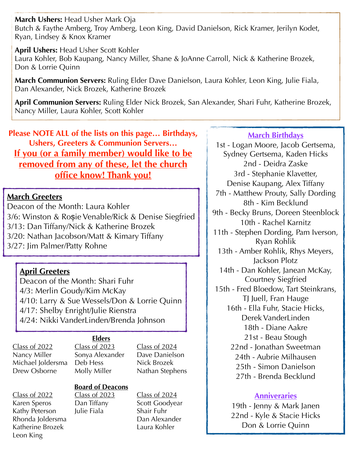**March Ushers:** Head Usher Mark Oja Butch & Faythe Amberg, Troy Amberg, Leon King, David Danielson, Rick Kramer, Jerilyn Kodet, Ryan, Lindsey & Knox Kramer

**April Ushers:** Head Usher Scott Kohler Laura Kohler, Bob Kaupang, Nancy Miller, Shane & JoAnne Carroll, Nick & Katherine Brozek, Don & Lorrie Quinn

**March Communion Servers:** Ruling Elder Dave Danielson, Laura Kohler, Leon King, Julie Fiala, Dan Alexander, Nick Brozek, Katherine Brozek

**April Communion Servers:** Ruling Elder Nick Brozek, San Alexander, Shari Fuhr, Katherine Brozek, Nancy Miller, Laura Kohler, Scott Kohler

**Please NOTE ALL of the lists on this page… Birthdays, Ushers, Greeters & Communion Servers… If you (or a family member) would like to be removed from any of these, let the church office know! Thank you!**

#### **March Greeters**

Deacon of the Month: Laura Kohler 3/6: Winston & Roșie Venable/Rick & Denise Siegfried 3/13: Dan Tiffany/Nick & Katherine Brozek 3/20: Nathan Jacobson/Matt & Kimary Tiffany 3/27: Jim Palmer/Patty Rohne

#### **April Greeters**

Deacon of the Month: Shari Fuhr 4/3: Merlin Goudy/Kim McKay 4/10: Larry & Sue Wessels/Don & Lorrie Quinn 4/17: Shelby Enright/Julie Rienstra 4/24: Nikki VanderLinden/Brenda Johnson

#### **Elders**

Class of 2022 Class of 2023 Class of 2024 Nancy Miller Sonya Alexander Dave Danielson Michael Joldersma Deb Hess Nick Brozek Drew Osborne Molly Miller Nathan Stephens

Leon King

#### **Board of Deacons**

Kathy Peterson Julie Fiala Shair Fuhr

Class of 2022 Class of 2023 Class of 2024 Karen Speros Dan Tiffany Scott Goodyear Rhonda Joldersma<br>
Dan Alexander Katherine Brozek **Laura Kohler** 

#### **March Birthdays**

1st - Logan Moore, Jacob Gertsema, Sydney Gertsema, Kaden Hicks 2nd - Deidra Zaske 3rd - Stephanie Klavetter, Denise Kaupang, Alex Tiffany 7th - Matthew Prouty, Sally Dording 8th - Kim Becklund 9th - Becky Bruns, Doreen Steenblock 10th - Rachel Karnitz 11th - Stephen Dording, Pam Iverson, Ryan Rohlik 13th - Amber Rohlik, Rhys Meyers, Jackson Plotz 14th - Dan Kohler, Janean McKay, Courtney Siegfried 15th - Fred Bloedow, Tart Steinkrans, TJ Juell, Fran Hauge 16th - Ella Fuhr, Stacie Hicks, Derek VanderLinden 18th - Diane Aakre 21st - Beau Stough 22nd - Jonathan Sweetman 24th - Aubrie Milhausen 25th - Simon Danielson 27th - Brenda Becklund

#### **Anniveraries**

19th - Jenny & Mark Janen 22nd - Kyle & Stacie Hicks Don & Lorrie Quinn